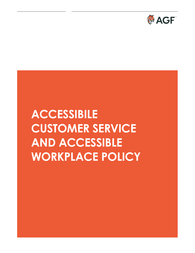

# **ACCESSIBILE CUSTOMER SERVICE AND ACCESSIBLE WORKPLACE POLICY**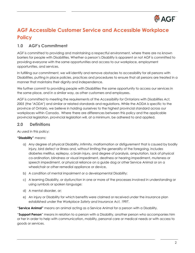

# **AGF Accessible Customer Service and Accessible Workplace Policy**

# **1.0 AGF's Commitment**

AGF is committed to providing and maintaining a respectful environment, where there are no known barriers for people with Disabilities. Whether a person's Disability is apparent or not AGF is committed to providing everyone with the same opportunities and access to our workplace, employment opportunities, and services.

In fulfilling our commitment, we will identify and remove obstacles to accessibility for all persons with Disabilities, putting in place policies, practices and procedures to ensure that all persons are treated in a manner that maintains their dignity and independence.

We further commit to providing people with Disabilities the same opportunity to access our services in the same place, and in a similar way, as other customers and employees.

AGF is committed to meeting the requirements of the *Accessibility for Ontarians with Disabilities Act, 2005* (the "*AODA*") and similar or related standards and regulations. While the AODA is specific to the province of Ontario, we believe in holding ourselves to the highest provincial standard across our workplaces within Canada. Where there are differences between this policy and the applicable provincial legislation, provincial legislation will, at a minimum, be adhered to and applied.

#### **2.0 Definitions**

As used in this policy:

#### **"Disability"** means:

- a) Any degree of physical Disability, infirmity, malformation or disfigurement that is caused by bodily injury, bird defect or illness and, without limiting the generality of the foregoing, includes diabetes mellitus, epilepsy, a brain injury, and degree of paralysis, amputation, lack of physical co-ordination, blindness or visual impediment, deafness or hearing impediment, muteness or speech impediment, or physical reliance on a guide dog or other Service Animal or on a wheelchair or other remedial appliance or device,
- b) A condition of mental impairment or a developmental Disability;
- c) A learning Disability, or dysfunction in one or more of the processes involved in understanding or using symbols or spoken language;
- d) A mental disorder, or;
- e) An injury or Disability for which benefits were claimed or received under the insurance plan established under the *Workplace Safety and Insurance Act, 1997*.

"**Service Animal"** means an animal acting as a Service Animal for a person with a Disability.

"**Support Person**" means in relation to a person with a Disability, another person who accompanies him or her in order to help with communication, mobility, personal care or medical needs or with access to goods or services.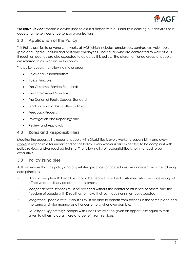

"**Assistive Device**" means a devise used to assist a person with a Disability in carrying out activities or in accessing the services of persons or organizations.

# **3.0 Application of the Policy**

This Policy applies to anyone who works at AGF which includes; employees, contractors, volunteers (paid and unpaid), casual and part-time employees. Individuals who are contracted to work at AGF through an agency are also expected to abide by this policy. The aforementioned group of people are referred to as 'workers' in this policy.

The policy covers the following major areas:

- Roles and Responsibilities;
- Policy Principles;
- The Customer Service Standard;
- The Employment Standard;
- The Design of Public Spaces Standard;
- Modifications to this or other policies;
- Feedback Process;
- Investigation and Reporting; and
- Review and Approval.

#### **4.0 Roles and Responsibilities**

Meeting the accessibility needs of people with Disabilities is every worker's responsibility and every worker is responsible for understanding this Policy. Every worker is also expected to be compliant with policy reviews and/or required training. The following list of responsibilities is not intended to be exhaustive:

# **5.0 Policy Principles**

AGF will ensure that this policy and any related practices or procedures are consistent with the following core principles:

- *Dignity:* people with Disabilities should be treated as valued customers who are as deserving of effective and full service as other customers.
- *Independence:* services must be provided without the control or influence of others, and the freedom of people with Disabilities to make their own decisions must be respected.
- *Integration:* people with Disabilities must be able to benefit from services in the same place and the same or similar manner as other customers, whenever possible.
- *Equality of Opportunity:* people with Disabilities must be given an opportunity equal to that given to others to obtain, use and benefit from services.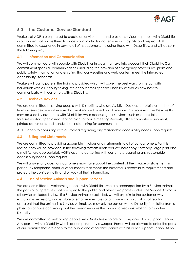

# **6.0 The Customer Service Standard**

Workers at AGF are expected to create an environment and provide services to people with Disabilities in a manner that allows them to access our products and services with dignity and respect. AGF is committed to excellence in serving all of its customers, including those with Disabilities, and will do so in the following ways:

#### **6.1 Information and Communication**

We will communicate with people with Disabilities in ways that take into account their Disability. Our commitment spans all communications, including the provision of emergency procedures, plans and public safety information and ensuring that our websites and web content meet the Integrated Accessibility Standards.

Workers will participate in the training provided which will cover the best ways to interact with individuals with a Disability taking into account their specific Disability as well as how best to communicate with customers with a Disability.

#### **6.2 Assistive Devices**

We are committed to serving people with Disabilities who use Assistive Devices to obtain, use or benefit from our services. We will ensure that workers are trained and familiar with various Assistive Devices that may be used by customers with Disabilities while accessing our services, such as accessible toilets/elevators, specialized seating plans at onsite meetings/events, office computer equipment, printed documents and handwritten note-taking for communication.

AGF is open to consulting with customers regarding any reasonable accessibility needs upon request.

#### **6.3 Billing and Statements**

We are committed to providing accessible invoices and statements to all of our customers. For this reason, they will be provided in the following formats upon request: hardcopy, softcopy, large print and e-mail (where appropriate). AGF is open to consulting with customers regarding any reasonable accessibility needs upon request.

We will answer any questions customers may have about the content of the invoice or statement in person, by telephone, email or other means that meets the customer's accessibility requirements and protects the confidentiality and privacy of their information.

#### **6.4 Use of Service Animals and Support Persons**

We are committed to welcoming people with Disabilities who are accompanied by a Service Animal on the parts of our premises that are open to the public and other third parties, unless the Service Animal is otherwise excluded by law. If a Service Animal is excluded, we will explain to the customer why exclusion is necessary, and explore alternative measures of accommodation. If it is not readily apparent that the animal is a Service Animal, we may ask the person with a Disability for a letter from a physician or nurse confirming that the person requires the animal for reasons relating to his or her Disability.

We are committed to welcoming people with Disabilities who are accompanied by a Support Person. Any person with a Disability who is accompanied by a Support Person will be allowed to enter the parts of our premises that are open to the public and other third parties with his or her Support Person. At no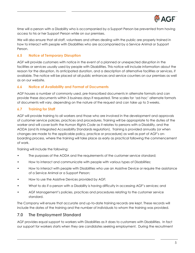

time will a person with a Disability who is accompanied by a Support Person be prevented from having access to his or her Support Person while on our premises.

We will also ensure that all staff, volunteers and others dealing with the public are properly trained in how to interact with people with Disabilities who are accompanied by a Service Animal or Support Person.

#### **6.5 Notice of Temporary Disruption**

AGF will provide customers with notice in the event of a planned or unexpected disruption in the facilities or services usually used by people with Disabilities. This notice will include information about the reason for the disruption, its anticipated duration, and a description of alternative facilities or services, if available. The notice will be placed at all public entrances and service counters on our premises as well as on our website.

#### **6.6 Notice of Availability and Format of Documents**

AGF houses a number of commonly used, pre-transcribed documents in alternate formats and can provide these documents within 3 business days if requested. Time scales for 'ad-hoc' alternate formats of documents will vary, depending on the nature of the request and can take up to 3 weeks.

#### **6.7 Training for Staff**

AGF will provide training to all workers and those who are involved in the development and approvals of customer service policies, practices and procedures. Training will be appropriate to the duties of the worker and will cover both the *Human Rights Code* as it relates to persons with a Disability, and the AODA (and its Integrated Accessibility Standards regulation). Training is provided annually (or when changes are made to the applicable policy, practice or procedure) as well as part of AGF's onboarding process, where the training will take place as early as practical following the commencement of work.

Training will include the following:

- The purposes of the AODA and the requirements of the customer service standard;
- How to interact and communicate with people with various types of Disabilities;
- How to interact with people with Disabilities who use an Assistive Device or require the assistance of a Service Animal or a Support Person;
- How to use the Assistive Devices provided by AGF;
- What to do if a person with a Disability is having difficulty in accessing AGF's services; and
- AGF Management's policies, practices and procedures relating to the customer service standard.

The Company will ensure that accurate and up-to-date training records are kept. These records will include the dates of the training and the number of individuals to whom the training was provided.

# **7.0 The Employment Standard**

AGF provides equal support to workers with Disabilities as it does to customers with Disabilities. In fact our support for workers starts when they are candidates seeking employment. During the recruitment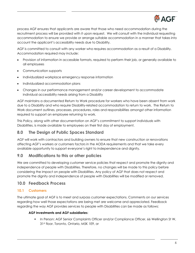

process AGF ensures that applicants are aware that those who need accommodation during the recruitment process will be provided with it upon request. We will consult with the individual requesting accommodation to ensure we provide or arrange suitable accommodation in a manner that takes into account the applicant's accessibility needs due to Disability.

AGF is committed to consult with any worker who requires accommodation as a result of a Disability. Accommodation required may include:

- Provision of information in accessible formats, required to perform their job, or generally available to all employees
- Communication supports
- Individualized workplace emergency response information
- Individualized accommodation plans
- Changes in our performance management and/or career development to accommodate individual accessibility needs arising from a Disability

AGF maintains a documented Return to Work procedure for workers who have been absent from work due to a Disability and who require Disability-related accommodation to return to work. The Return to Work document outlines, processes, procedures, roles and responsibilities amongst other information required to support an employee returning to work.

This Policy, along with other documentation on AGF's commitment to support individuals with Disabilities, is made available to employees on their first day of employment.

# **8.0 The Design of Public Spaces Standard**

AGF will work with contractors and building owners to ensure that new construction or renovations affecting AGF's workers or customers factors in the AODA requirements and that we take every available opportunity to support everyone's right to independence and dignity.

# **9.0 Modifications to this or other policies**

We are committed to developing customer service policies that respect and promote the dignity and independence of people with Disabilities. Therefore, no changes will be made to this policy before considering the impact on people with Disabilities. Any policy of AGF that does not respect and promote the dignity and independence of people with Disabilities will be modified or removed.

# **10.0 Feedback Process**

#### **10.1 Customers**

The ultimate goal of AGF is to meet and surpass customer expectations. Comments on our services regarding how well those expectations are being met are welcome and appreciated. Feedback regarding the way AGF provides services to people with Disabilities can be made as follows:

#### **AGF Investments and AGF subsidiaries**:

**In Person: AGF Senior Complaints Officer and/or Compliance Officer, 66 Wellington St W,** 31st floor, Toronto, Ontario, M5K 1E9, or